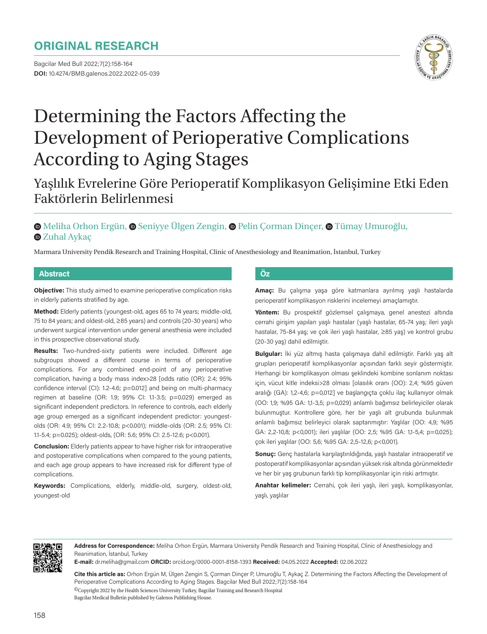# **ORIGINAL RESEARCH**

Bagcilar Med Bull 2022;7(2):158-164 **DOI:** 10.4274/BMB.galenos.2022.2022-05-039



# Determining the Factors Affecting the Development of Perioperative Complications According to Aging Stages

# Yaşlılık Evrelerine Göre Perioperatif Komplikasyon Gelişimine Etki Eden Faktörlerin Belirlenmesi

# $\bullet$ Meliha Orhon Ergün,  $\bullet$  Seniyye Ülgen Zengin,  $\bullet$  Pelin Corman Dinçer,  $\bullet$  Tümay Umuroğlu, **O**Zuhal Avkac

Marmara University Pendik Research and Training Hospital, Clinic of Anesthesiology and Reanimation, İstanbul, Turkey

#### **Abstract Öz**

**Objective:** This study aimed to examine perioperative complication risks in elderly patients stratified by age.

**Method:** Elderly patients (youngest-old, ages 65 to 74 years; middle-old, 75 to 84 years; and oldest-old, ≥85 years) and controls (20-30 years) who underwent surgical intervention under general anesthesia were included in this prospective observational study.

**Results:** Two-hundred-sixty patients were included. Different age subgroups showed a different course in terms of perioperative complications. For any combined end-point of any perioperative complication, having a body mass index>28 [odds ratio (OR): 2.4; 95% confidence interval (CI): 1.2-4.6; p=0.012] and being on multi-pharmacy regimen at baseline (OR: 1.9; 95% CI: 1.1-3.5; p=0.029) emerged as significant independent predictors. In reference to controls, each elderly age group emerged as a significant independent predictor: youngestolds (OR: 4.9; 95% CI: 2.2-10.8; p<0.001); middle-olds (OR: 2.5; 95% CI: 1.1-5.4; p=0.025); oldest-olds, (OR: 5.6; 95% CI: 2.5-12.6; p<0.001).

**Conclusion:** Elderly patients appear to have higher risk for intraoperative and postoperative complications when compared to the young patients, and each age group appears to have increased risk for different type of complications.

**Keywords:** Complications, elderly, middle-old, surgery, oldest-old, youngest-old

**Amaç:** Bu çalışma yaşa göre katmanlara ayrılmış yaşlı hastalarda perioperatif komplikasyon risklerini incelemeyi amaçlamıştır.

**Yöntem:** Bu prospektif gözlemsel çalışmaya, genel anestezi altında cerrahi girişim yapılan yaşlı hastalar (yaşlı hastalar, 65-74 yaş; ileri yaşlı hastalar, 75-84 yaş; ve çok ileri yaşlı hastalar, ≥85 yaş) ve kontrol grubu (20-30 yaş) dahil edilmiştir.

**Bulgular:** İki yüz altmış hasta çalışmaya dahil edilmiştir. Farklı yaş alt grupları perioperatif komplikasyonlar açısından farklı seyir göstermiştir. Herhangi bir komplikasyon olması şeklindeki kombine sonlanım noktası için, vücut kitle indeksi>28 olması [olasılık oranı (OO): 2,4; %95 güven aralığı (GA): 1,2-4,6; p=0,012] ve başlangıçta çoklu ilaç kullanıyor olmak (OO: 1,9; %95 GA: 1,1-3,5; p=0,029) anlamlı bağımsız belirleyiciler olarak bulunmuştur. Kontrollere göre, her bir yaşlı alt grubunda bulunmak anlamlı bağımsız belirleyici olarak saptanmıştır: Yaşlılar (OO: 4,9; %95 GA: 2,2-10,8; p<0,001); ileri yaşlılar (OO: 2,5; %95 GA: 1,1-5,4; p=0,025); çok ileri yaşlılar (OO: 5,6; %95 GA: 2,5-12,6; p<0,001).

**Sonuç:** Genç hastalarla karşılaştırıldığında, yaşlı hastalar intraoperatif ve postoperatif komplikasyonlar açısından yüksek risk altında görünmektedir ve her bir yaş grubunun farklı tip komplikasyonlar için riski artmıştır.

**Anahtar kelimeler:** Cerrahi, çok ileri yaşlı, ileri yaşlı, komplikasyonlar, yaşlı, yaşlılar



**Address for Correspondence:** Meliha Orhon Ergün, Marmara University Pendik Research and Training Hospital, Clinic of Anesthesiology and Reanimation, İstanbul, Turkey

**E-mail:** dr.meliha@gmail.com **ORCID:** orcid.org/0000-0001-8158-1393 **Received:** 04.05.2022 **Accepted:** 02.06.2022

©Copyright 2022 by the Health Sciences University Turkey, Bagcilar Training and Research Hospital Bagcilar Medical Bulletin published by Galenos Publishing House. **Cite this article as:** Orhon Ergün M, Ülgen Zengin S, Çorman Dinçer P, Umuroğlu T, Aykaç Z. Determining the Factors Affecting the Development of Perioperative Complications According to Aging Stages. Bagcilar Med Bull 2022;7(2):158-164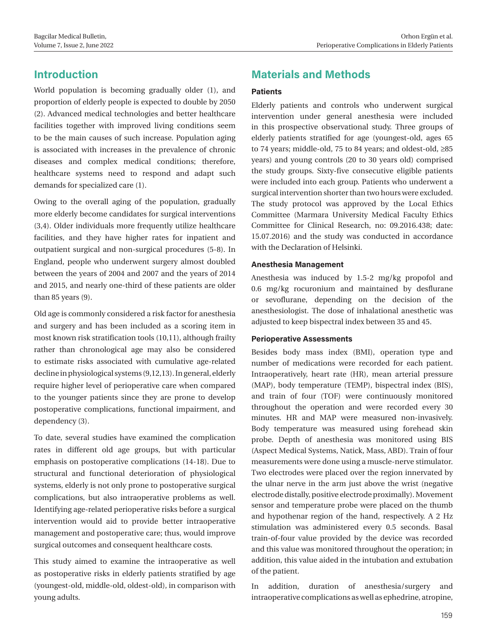# **Introduction**

World population is becoming gradually older (1), and proportion of elderly people is expected to double by 2050 (2). Advanced medical technologies and better healthcare facilities together with improved living conditions seem to be the main causes of such increase. Population aging is associated with increases in the prevalence of chronic diseases and complex medical conditions; therefore, healthcare systems need to respond and adapt such demands for specialized care (1).

Owing to the overall aging of the population, gradually more elderly become candidates for surgical interventions (3,4). Older individuals more frequently utilize healthcare facilities, and they have higher rates for inpatient and outpatient surgical and non-surgical procedures (5-8). In England, people who underwent surgery almost doubled between the years of 2004 and 2007 and the years of 2014 and 2015, and nearly one-third of these patients are older than 85 years (9).

Old age is commonly considered a risk factor for anesthesia and surgery and has been included as a scoring item in most known risk stratification tools (10,11), although frailty rather than chronological age may also be considered to estimate risks associated with cumulative age-related decline in physiological systems (9,12,13). In general, elderly require higher level of perioperative care when compared to the younger patients since they are prone to develop postoperative complications, functional impairment, and dependency (3).

To date, several studies have examined the complication rates in different old age groups, but with particular emphasis on postoperative complications (14-18). Due to structural and functional deterioration of physiological systems, elderly is not only prone to postoperative surgical complications, but also intraoperative problems as well. Identifying age-related perioperative risks before a surgical intervention would aid to provide better intraoperative management and postoperative care; thus, would improve surgical outcomes and consequent healthcare costs.

This study aimed to examine the intraoperative as well as postoperative risks in elderly patients stratified by age (youngest-old, middle-old, oldest-old), in comparison with young adults.

# **Materials and Methods**

# **Patients**

Elderly patients and controls who underwent surgical intervention under general anesthesia were included in this prospective observational study. Three groups of elderly patients stratified for age (youngest-old, ages 65 to 74 years; middle-old, 75 to 84 years; and oldest-old, ≥85 years) and young controls (20 to 30 years old) comprised the study groups. Sixty-five consecutive eligible patients were included into each group. Patients who underwent a surgical intervention shorter than two hours were excluded. The study protocol was approved by the Local Ethics Committee (Marmara University Medical Faculty Ethics Committee for Clinical Research, no: 09.2016.438; date: 15.07.2016) and the study was conducted in accordance with the Declaration of Helsinki.

# **Anesthesia Management**

Anesthesia was induced by 1.5-2 mg/kg propofol and 0.6 mg/kg rocuronium and maintained by desflurane or sevoflurane, depending on the decision of the anesthesiologist. The dose of inhalational anesthetic was adjusted to keep bispectral index between 35 and 45.

# **Perioperative Assessments**

Besides body mass index (BMI), operation type and number of medications were recorded for each patient. Intraoperatively, heart rate (HR), mean arterial pressure (MAP), body temperature (TEMP), bispectral index (BIS), and train of four (TOF) were continuously monitored throughout the operation and were recorded every 30 minutes. HR and MAP were measured non-invasively. Body temperature was measured using forehead skin probe. Depth of anesthesia was monitored using BIS (Aspect Medical Systems, Natick, Mass, ABD). Train of four measurements were done using a muscle-nerve stimulator. Two electrodes were placed over the region innervated by the ulnar nerve in the arm just above the wrist (negative electrode distally, positive electrode proximally). Movement sensor and temperature probe were placed on the thumb and hypothenar region of the hand, respectively. A 2 Hz stimulation was administered every 0.5 seconds. Basal train-of-four value provided by the device was recorded and this value was monitored throughout the operation; in addition, this value aided in the intubation and extubation of the patient.

In addition, duration of anesthesia/surgery and intraoperative complications as well as ephedrine, atropine,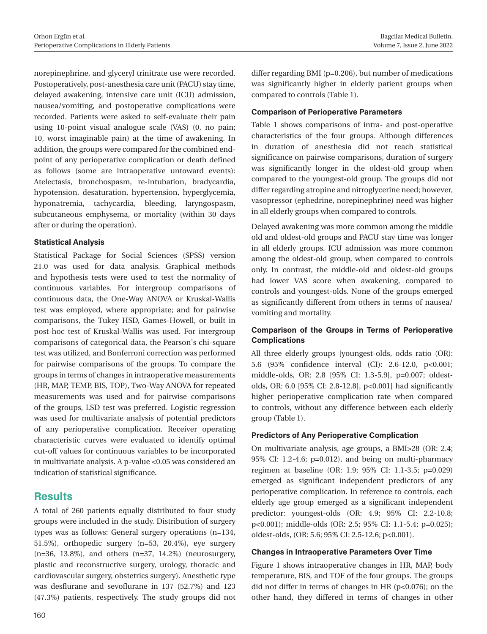norepinephrine, and glyceryl trinitrate use were recorded. Postoperatively, post-anesthesia care unit (PACU) stay time, delayed awakening, intensive care unit (ICU) admission, nausea/vomiting, and postoperative complications were recorded. Patients were asked to self-evaluate their pain using 10-point visual analogue scale (VAS) (0, no pain; 10, worst imaginable pain) at the time of awakening. In addition, the groups were compared for the combined endpoint of any perioperative complication or death defined as follows (some are intraoperative untoward events): Atelectasis, bronchospasm, re-intubation, bradycardia, hypotension, desaturation, hypertension, hyperglycemia, hyponatremia, tachycardia, bleeding, laryngospasm, subcutaneous emphysema, or mortality (within 30 days after or during the operation).

# **Statistical Analysis**

Statistical Package for Social Sciences (SPSS) version 21.0 was used for data analysis. Graphical methods and hypothesis tests were used to test the normality of continuous variables. For intergroup comparisons of continuous data, the One-Way ANOVA or Kruskal-Wallis test was employed, where appropriate; and for pairwise comparisons, the Tukey HSD, Games-Howell, or built in post-hoc test of Kruskal-Wallis was used. For intergroup comparisons of categorical data, the Pearson's chi-square test was utilized, and Bonferroni correction was performed for pairwise comparisons of the groups. To compare the groups in terms of changes in intraoperative measurements (HR, MAP, TEMP, BIS, TOP), Two-Way ANOVA for repeated measurements was used and for pairwise comparisons of the groups, LSD test was preferred. Logistic regression was used for multivariate analysis of potential predictors of any perioperative complication. Receiver operating characteristic curves were evaluated to identify optimal cut-off values for continuous variables to be incorporated in multivariate analysis. A p-value <0.05 was considered an indication of statistical significance.

# **Results**

A total of 260 patients equally distributed to four study groups were included in the study. Distribution of surgery types was as follows: General surgery operations (n=134, 51.5%), orthopedic surgery (n=53, 20.4%), eye surgery (n=36, 13.8%), and others (n=37, 14.2%) (neurosurgery, plastic and reconstructive surgery, urology, thoracic and cardiovascular surgery, obstetrics surgery). Anesthetic type was desflurane and sevoflurane in 137 (52.7%) and 123 (47.3%) patients, respectively. The study groups did not

differ regarding BMI (p=0.206), but number of medications was significantly higher in elderly patient groups when compared to controls (Table 1).

#### **Comparison of Perioperative Parameters**

Table 1 shows comparisons of intra- and post-operative characteristics of the four groups. Although differences in duration of anesthesia did not reach statistical significance on pairwise comparisons, duration of surgery was significantly longer in the oldest-old group when compared to the youngest-old group. The groups did not differ regarding atropine and nitroglycerine need; however, vasopressor (ephedrine, norepinephrine) need was higher in all elderly groups when compared to controls.

Delayed awakening was more common among the middle old and oldest-old groups and PACU stay time was longer in all elderly groups. ICU admission was more common among the oldest-old group, when compared to controls only. In contrast, the middle-old and oldest-old groups had lower VAS score when awakening, compared to controls and youngest-olds. None of the groups emerged as significantly different from others in terms of nausea/ vomiting and mortality.

# **Comparison of the Groups in Terms of Perioperative Complications**

All three elderly groups [youngest-olds, odds ratio (OR): 5.6 (95% confidence interval (CI): 2.6-12.0, p<0.001; middle-olds, OR: 2.8 [95% CI: 1.3-5.9], p=0.007; oldestolds, OR: 6.0 [95% CI: 2.8-12.8], p<0.001] had significantly higher perioperative complication rate when compared to controls, without any difference between each elderly group (Table 1).

# **Predictors of Any Perioperative Complication**

On multivariate analysis, age groups, a BMI>28 (OR: 2.4; 95% CI: 1.2-4.6; p=0.012), and being on multi-pharmacy regimen at baseline (OR: 1.9; 95% CI: 1.1-3.5; p=0.029) emerged as significant independent predictors of any perioperative complication. In reference to controls, each elderly age group emerged as a significant independent predictor: youngest-olds (OR: 4.9; 95% CI: 2.2-10.8; p<0.001); middle-olds (OR: 2.5; 95% CI: 1.1-5.4; p=0.025); oldest-olds, (OR: 5.6; 95% CI: 2.5-12.6; p<0.001).

# **Changes in Intraoperative Parameters Over Time**

Figure 1 shows intraoperative changes in HR, MAP, body temperature, BIS, and TOF of the four groups. The groups did not differ in terms of changes in HR (p<0.076); on the other hand, they differed in terms of changes in other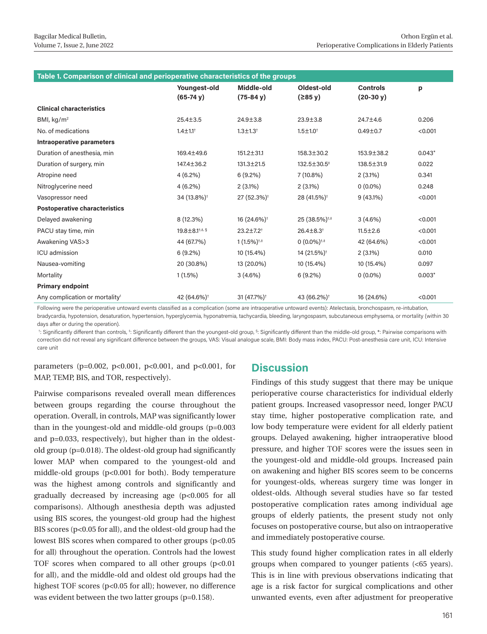| Table 1. Comparison of clinical and perioperative characteristics of the groups |                                     |                              |                                 |                                |          |
|---------------------------------------------------------------------------------|-------------------------------------|------------------------------|---------------------------------|--------------------------------|----------|
|                                                                                 | Youngest-old<br>$(65-74 \text{ V})$ | Middle-old<br>$(75-84 y)$    | Oldest-old<br>$(285 \text{ V})$ | <b>Controls</b><br>$(20-30 y)$ | p        |
| <b>Clinical characteristics</b>                                                 |                                     |                              |                                 |                                |          |
| BMI, $kg/m2$                                                                    | $25.4 \pm 3.5$                      | $24.9 \pm 3.8$               | $23.9 \pm 3.8$                  | 24.7±4.6                       | 0.206    |
| No. of medications                                                              | $1.4 \pm 1.1$ <sup>+</sup>          | $1.3 \pm 1.3$ <sup>+</sup>   | $1.5 \pm 1.0^+$                 | $0.49 + 0.7$                   | < 0.001  |
| Intraoperative parameters                                                       |                                     |                              |                                 |                                |          |
| Duration of anesthesia, min                                                     | 169.4±49.6                          | $151.2 \pm 31.1$             | 158.3±30.2                      | 153,9±38.2                     | $0.043*$ |
| Duration of surgery, min                                                        | 147.4±36.2                          | $131.3 \pm 21.5$             | $132.5 \pm 30.5^+$              | $138.5 \pm 31.9$               | 0.022    |
| Atropine need                                                                   | $4(6.2\%)$                          | 6(9.2%)                      | $7(10.8\%)$                     | $2(3.1\%)$                     | 0.341    |
| Nitroglycerine need                                                             | $4(6.2\%)$                          | $2(3.1\%)$                   | $2(3.1\%)$                      | $0(0.0\%)$                     | 0.248    |
| Vasopressor need                                                                | 34 (13.8%) <sup>+</sup>             | 27 (52.3%) <sup>+</sup>      | 28 (41.5%) <sup>+</sup>         | $9(43.1\%)$                    | < 0.001  |
| <b>Postoperative characteristics</b>                                            |                                     |                              |                                 |                                |          |
| Delayed awakening                                                               | 8 (12.3%)                           | 16 (24.6%) <sup>+</sup>      | 25 (38.5%) <sup>+,‡</sup>       | $3(4.6\%)$                     | < 0.001  |
| PACU stay time, min                                                             | 19.8±8.1 <sup>†,#, §</sup>          | $23.2 \pm 7.2$ <sup>+</sup>  | $26.4 \pm 8.3$ <sup>+</sup>     | $11.5 \pm 2.6$                 | < 0.001  |
| Awakening VAS>3                                                                 | 44 (67.7%)                          | $1(1.5\%)^{\dagger,\dagger}$ | $0(0.0\%)^{\dagger,\ddagger}$   | 42 (64.6%)                     | < 0.001  |
| <b>ICU</b> admission                                                            | $6(9.2\%)$                          | 10 (15.4%)                   | 14 (21.5%) <sup>+</sup>         | $2(3.1\%)$                     | 0.010    |
| Nausea-vomiting                                                                 | 20 (30.8%)                          | 13 (20.0%)                   | 10 (15.4%)                      | 10 (15.4%)                     | 0.097    |
| Mortality                                                                       | $1(1.5\%)$                          | $3(4.6\%)$                   | 6(9.2%)                         | $0(0.0\%)$                     | $0.003*$ |
| <b>Primary endpoint</b>                                                         |                                     |                              |                                 |                                |          |
| Any complication or mortality                                                   | 42 (64.6%) <sup>+</sup>             | 31 (47.7%) <sup>+</sup>      | 43 (66.2%) <sup>+</sup>         | 16 (24.6%)                     | < 0.001  |

Following were the perioperative untoward events classified as a complication (some are intraoperative untoward events): Atelectasis, bronchospasm, re-intubation, bradycardia, hypotension, desaturation, hypertension, hyperglycemia, hyponatremia, tachycardia, bleeding, laryngospasm, subcutaneous emphysema, or mortality (within 30 days after or during the operation).

†: Significantly different than controls,‡: Significantly different than the youngest-old group,§: Significantly different than the middle-old group, \*: Pairwise comparisons with correction did not reveal any significant difference between the groups, VAS: Visual analogue scale, BMI: Body mass index, PACU: Post-anesthesia care unit, ICU: Intensive care unit

parameters (p=0.002, p<0.001, p<0.001, and p<0.001, for MAP, TEMP, BIS, and TOR, respectively).

Pairwise comparisons revealed overall mean differences between groups regarding the course throughout the operation. Overall, in controls, MAP was significantly lower than in the youngest-old and middle-old groups (p=0.003 and p=0.033, respectively), but higher than in the oldestold group (p=0.018). The oldest-old group had significantly lower MAP when compared to the youngest-old and middle-old groups (p<0.001 for both). Body temperature was the highest among controls and significantly and gradually decreased by increasing age (p<0.005 for all comparisons). Although anesthesia depth was adjusted using BIS scores, the youngest-old group had the highest BIS scores (p<0.05 for all), and the oldest-old group had the lowest BIS scores when compared to other groups (p<0.05) for all) throughout the operation. Controls had the lowest TOF scores when compared to all other groups (p<0.01 for all), and the middle-old and oldest old groups had the highest TOF scores (p<0.05 for all); however, no difference was evident between the two latter groups (p=0.158).

# **Discussion**

Findings of this study suggest that there may be unique perioperative course characteristics for individual elderly patient groups. Increased vasopressor need, longer PACU stay time, higher postoperative complication rate, and low body temperature were evident for all elderly patient groups. Delayed awakening, higher intraoperative blood pressure, and higher TOF scores were the issues seen in the youngest-old and middle-old groups. Increased pain on awakening and higher BIS scores seem to be concerns for youngest-olds, whereas surgery time was longer in oldest-olds. Although several studies have so far tested postoperative complication rates among individual age groups of elderly patients, the present study not only focuses on postoperative course, but also on intraoperative and immediately postoperative course.

This study found higher complication rates in all elderly groups when compared to younger patients (<65 years). This is in line with previous observations indicating that age is a risk factor for surgical complications and other unwanted events, even after adjustment for preoperative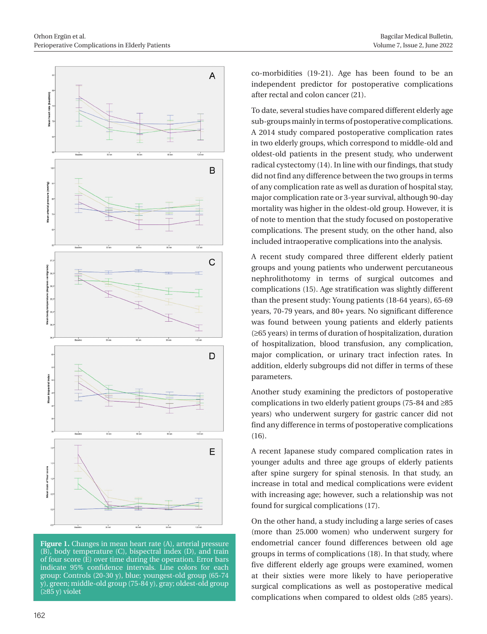

**Figure 1.** Changes in mean heart rate (A), arterial pressure (B), body temperature (C), bispectral index (D), and train of four score (E) over time during the operation. Error bars indicate 95% confidence intervals. Line colors for each group: Controls (20-30 y), blue; youngest-old group (65-74 y), green; middle-old group (75-84 y), gray; oldest-old group (≥85 y) violet

co-morbidities (19-21). Age has been found to be an independent predictor for postoperative complications after rectal and colon cancer (21).

To date, several studies have compared different elderly age sub-groups mainly in terms of postoperative complications. A 2014 study compared postoperative complication rates in two elderly groups, which correspond to middle-old and oldest-old patients in the present study, who underwent radical cystectomy (14). In line with our findings, that study did not find any difference between the two groups in terms of any complication rate as well as duration of hospital stay, major complication rate or 3-year survival, although 90-day mortality was higher in the oldest-old group. However, it is of note to mention that the study focused on postoperative complications. The present study, on the other hand, also included intraoperative complications into the analysis.

A recent study compared three different elderly patient groups and young patients who underwent percutaneous nephrolithotomy in terms of surgical outcomes and complications (15). Age stratification was slightly different than the present study: Young patients (18-64 years), 65-69 years, 70-79 years, and 80+ years. No significant difference was found between young patients and elderly patients (≥65 years) in terms of duration of hospitalization, duration of hospitalization, blood transfusion, any complication, major complication, or urinary tract infection rates. In addition, elderly subgroups did not differ in terms of these parameters.

Another study examining the predictors of postoperative complications in two elderly patient groups (75-84 and ≥85 years) who underwent surgery for gastric cancer did not find any difference in terms of postoperative complications (16).

A recent Japanese study compared complication rates in younger adults and three age groups of elderly patients after spine surgery for spinal stenosis. In that study, an increase in total and medical complications were evident with increasing age; however, such a relationship was not found for surgical complications (17).

On the other hand, a study including a large series of cases (more than 25.000 women) who underwent surgery for endometrial cancer found differences between old age groups in terms of complications (18). In that study, where five different elderly age groups were examined, women at their sixties were more likely to have perioperative surgical complications as well as postoperative medical complications when compared to oldest olds (≥85 years).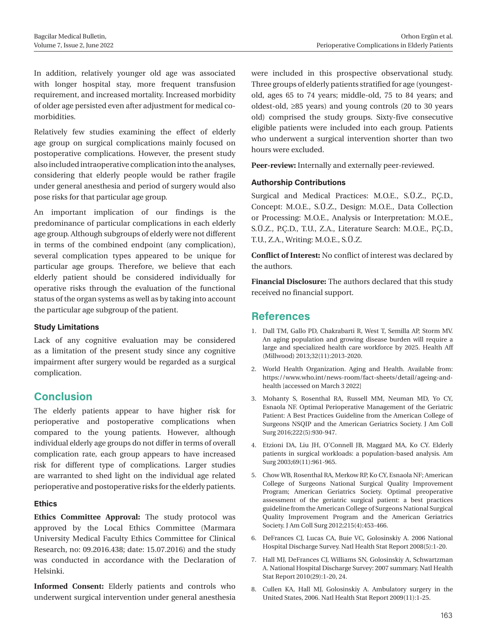In addition, relatively younger old age was associated with longer hospital stay, more frequent transfusion requirement, and increased mortality. Increased morbidity of older age persisted even after adjustment for medical comorbidities.

Relatively few studies examining the effect of elderly age group on surgical complications mainly focused on postoperative complications. However, the present study also included intraoperative complication into the analyses, considering that elderly people would be rather fragile under general anesthesia and period of surgery would also pose risks for that particular age group.

An important implication of our findings is the predominance of particular complications in each elderly age group. Although subgroups of elderly were not different in terms of the combined endpoint (any complication), several complication types appeared to be unique for particular age groups. Therefore, we believe that each elderly patient should be considered individually for operative risks through the evaluation of the functional status of the organ systems as well as by taking into account the particular age subgroup of the patient.

#### **Study Limitations**

Lack of any cognitive evaluation may be considered as a limitation of the present study since any cognitive impairment after surgery would be regarded as a surgical complication.

# **Conclusion**

The elderly patients appear to have higher risk for perioperative and postoperative complications when compared to the young patients. However, although individual elderly age groups do not differ in terms of overall complication rate, each group appears to have increased risk for different type of complications. Larger studies are warranted to shed light on the individual age related perioperative and postoperative risks for the elderly patients.

# **Ethics**

**Ethics Committee Approval:** The study protocol was approved by the Local Ethics Committee (Marmara University Medical Faculty Ethics Committee for Clinical Research, no: 09.2016.438; date: 15.07.2016) and the study was conducted in accordance with the Declaration of Helsinki.

**Informed Consent:** Elderly patients and controls who underwent surgical intervention under general anesthesia were included in this prospective observational study. Three groups of elderly patients stratified for age (youngestold, ages 65 to 74 years; middle-old, 75 to 84 years; and oldest-old, ≥85 years) and young controls (20 to 30 years old) comprised the study groups. Sixty-five consecutive eligible patients were included into each group. Patients who underwent a surgical intervention shorter than two hours were excluded.

**Peer-review:** Internally and externally peer-reviewed.

# **Authorship Contributions**

Surgical and Medical Practices: M.O.E., S.Ü.Z., P.Ç.D., Concept: M.O.E., S.Ü.Z., Design: M.O.E., Data Collection or Processing: M.O.E., Analysis or Interpretation: M.O.E., S.Ü.Z., P.Ç.D., T.U., Z.A., Literature Search: M.O.E., P.Ç.D., T.U., Z.A., Writing: M.O.E., S.Ü.Z.

**Conflict of Interest:** No conflict of interest was declared by the authors.

**Financial Disclosure:** The authors declared that this study received no financial support.

# **References**

- 1. Dall TM, Gallo PD, Chakrabarti R, West T, Semilla AP, Storm MV. An aging population and growing disease burden will require a large and specialized health care workforce by 2025. Health Aff (Millwood) 2013;32(11):2013-2020.
- 2. World Health Organization. Aging and Health. Available from: https://www.who.int/news-room/fact-sheets/detail/ageing-andhealth [accessed on March 3 2022]
- 3. Mohanty S, Rosenthal RA, Russell MM, Neuman MD, Yo CY, Esnaola NF. Optimal Perioperative Management of the Geriatric Patient: A Best Practices Guideline from the American College of Surgeons NSQIP and the American Geriatrics Society. J Am Coll Surg 2016;222(5):930-947.
- 4. Etzioni DA, Liu JH, O'Connell JB, Maggard MA, Ko CY. Elderly patients in surgical workloads: a population-based analysis. Am Surg 2003;69(11):961-965.
- 5. Chow WB, Rosenthal RA, Merkow RP, Ko CY, Esnaola NF; American College of Surgeons National Surgical Quality Improvement Program; American Geriatrics Society. Optimal preoperative assessment of the geriatric surgical patient: a best practices guideline from the American College of Surgeons National Surgical Quality Improvement Program and the American Geriatrics Society. J Am Coll Surg 2012;215(4):453-466.
- 6. DeFrances CJ, Lucas CA, Buie VC, Golosinskiy A. 2006 National Hospital Discharge Survey. Natl Health Stat Report 2008(5):1-20.
- 7. Hall MJ, DeFrances CJ, Williams SN, Golosinskiy A, Schwartzman A. National Hospital Discharge Survey: 2007 summary. Natl Health Stat Report 2010(29):1-20, 24.
- 8. Cullen KA, Hall MJ, Golosinskiy A. Ambulatory surgery in the United States, 2006. Natl Health Stat Report 2009(11):1-25.